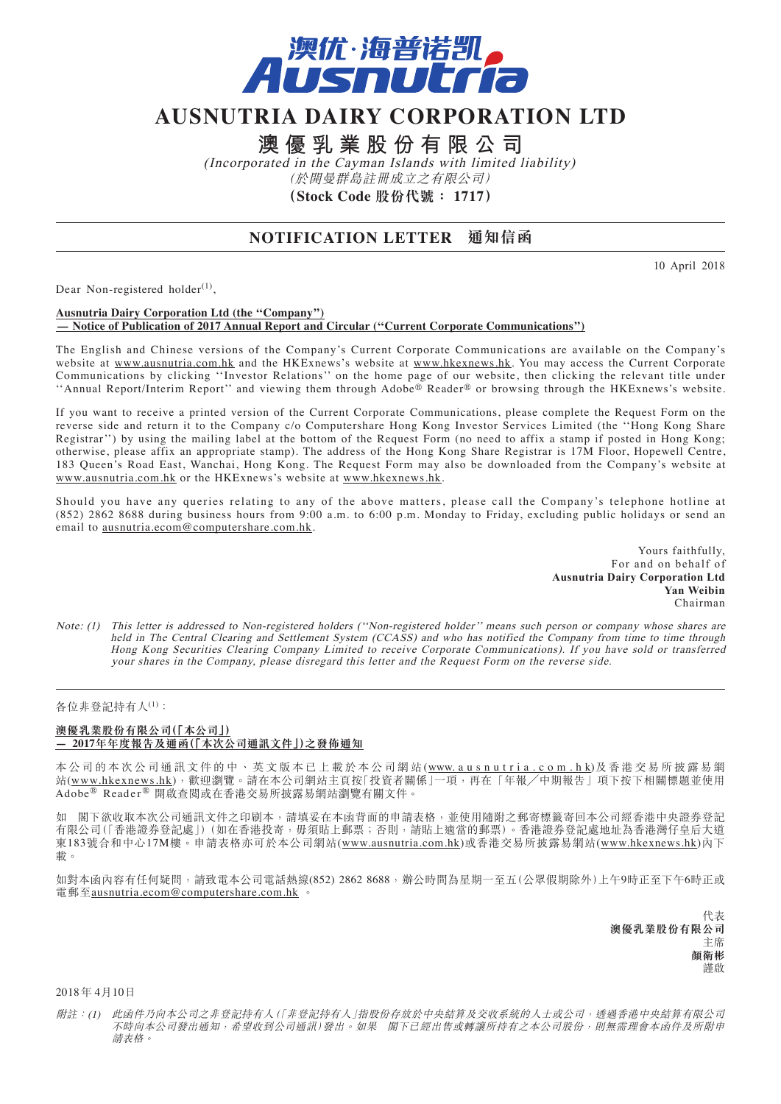

# **AUSNUTRIA DAIRY CORPORATION LTD**

**澳優乳業股份有限公司**

(Incorporated in the Cayman Islands with limited liability) (於開曼群島註冊成立之有限公司) **(Stock Code 股份代號: 1717)**

## **NOTIFICATION LETTER 通知信函**

10 April 2018

Dear Non-registered holder $^{(1)}$ ,

#### **Ausnutria Dairy Corporation Ltd (the ''Company'') — Notice of Publication of 2017 Annual Report and Circular (''Current Corporate Communications'')**

The English and Chinese versions of the Company's Current Corporate Communications are available on the Company's website at www.ausnutria.com.hk and the HKExnews's website at www.hkexnews.hk. You may access the Current Corporate Communications by clicking ''Investor Relations'' on the home page of our website, then clicking the relevant title under ''Annual Report/Interim Report'' and viewing them through Adobe® Reader® or browsing through the HKExnews's website.

If you want to receive a printed version of the Current Corporate Communications, please complete the Request Form on the reverse side and return it to the Company c/o Computershare Hong Kong Investor Services Limited (the ''Hong Kong Share Registrar'') by using the mailing label at the bottom of the Request Form (no need to affix a stamp if posted in Hong Kong; otherwise, please affix an appropriate stamp). The address of the Hong Kong Share Registrar is 17M Floor, Hopewell Centre, 183 Queen's Road East, Wanchai, Hong Kong. The Request Form may also be downloaded from the Company's website at www.ausnutria.com.hk or the HKExnews's website at www.hkexnews.hk.

Should you have any queries relating to any of the above matters, please call the Company's telephone hotline at (852) 2862 8688 during business hours from 9:00 a.m. to 6:00 p.m. Monday to Friday, excluding public holidays or send an email to ausnutria.ecom@computershare.com.hk.

> Yours faithfully, For and on behalf of **Ausnutria Dairy Corporation Ltd Yan Weibin** Chairman

Note: (1) This letter is addressed to Non-registered holders (''Non-registered holder'' means such person or company whose shares are held in The Central Clearing and Settlement System (CCASS) and who has notified the Company from time to time through Hong Kong Securities Clearing Company Limited to receive Corporate Communications). If you have sold or transferred your shares in the Company, please disregard this letter and the Request Form on the reverse side.

### 各位非登記持有人(1):

#### **澳優乳業股份有限公司(「本公司」) — 2017年年度報告及通函(「本次公司通訊文件」)之發佈通知**

本公司的本次公司通訊文件的中、英文版本已上載於本公司網站(www.ausnutria.com.hk)及香港交易所披露易網 站(www.hkexnews.hk),歡迎瀏覽。請在本公司網站主頁按「投資者關係」一項,再在「年報/中期報告」項下按下相關標題並使用 Adobe® Reader ® 開啟查閱或在香港交易所披露易網站瀏覽有關文件。

如 閣下欲收取本次公司通訊文件之印刷本,請填妥在本函背面的申請表格,並使用隨附之郵寄標籤寄回本公司經香港中央證券登記 有限公司(「香港證券登記處」)(如在香港投寄,毋須貼上郵票;否則,請貼上適當的郵票)。香港證券登記處地址為香港灣仔皇后大道 東183號合和中心17M樓。申請表格亦可於本公司網站(www.ausnutria.com.hk)或香港交易所披露易網站(www.hkexnews.hk)內下 載。

如對本函內容有任何疑問,請致電本公司電話熱線(852) 2862 8688,辦公時間為星期一至五(公眾假期除外)上午9時正至下午6時正或 電郵至<u>ausnutria.ecom@computershare.com.hk</u>

> 代表 **澳優乳業股份有限公司** 主席 **顏衛彬** 謹啟

2018 年 4月10日

附註:(1) 此函件乃向本公司之非登記持有人(「非登記持有人」指股份存放於中央結算及交收系統的人士或公司,透過香港中央結算有限公司 不時向本公司發出通知,希望收到公司通訊)發出。如果 閣下已經出售或轉讓所持有之本公司股份,則無需理會本函件及所附申 請表格。